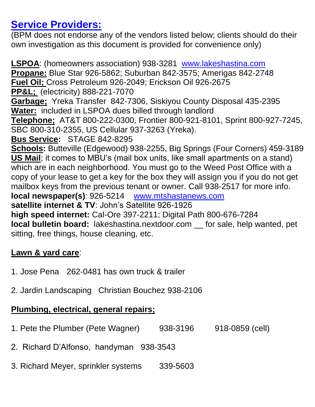## **Service Providers:**

(BPM does not endorse any of the vendors listed below; clients should do their own investigation as this document is provided for convenience only)

**LSPOA**: (homeowners association) 938-3281 [www.lakeshastina.com](http://www.lakeshastina.com/) **Propane:** Blue Star 926-5862; Suburban 842-3575; Amerigas 842-2748 **Fuel Oil;** Cross Petroleum 926-2049; Erickson Oil 926-2675 **PP&L;** (electricity) 888-221-7070 **Garbage;** Yreka Transfer 842-7306, Siskiyou County Disposal 435-2395 **Water:** included in LSPOA dues billed through landlord **Telephone;** AT&T 800-222-0300, Frontier 800-921-8101, Sprint 800-927-7245, SBC 800-310-2355, US Cellular 937-3263 (Yreka). **Bus Service:** STAGE 842-8295 **Schools:** Butteville (Edgewood) 938-2255, Big Springs (Four Corners) 459-3189 **US Mail**; it comes to MBU's (mail box units, like small apartments on a stand) which are in each neighborhood. You must go to the Weed Post Office with a copy of your lease to get a key for the box they will assign you if you do not get mailbox keys from the previous tenant or owner. Call 938-2517 for more info. **local newspaper(s)**: 926-5214 [www.mtshastanews.com](http://www.mtshastanews.com/) **satellite internet & TV**: John's Satellite 926-1926 **high speed internet:** Cal-Ore 397-2211; Digital Path 800-676-7284 **local bulletin board:** lakeshastina.nextdoor.com \_\_ for sale, help wanted, pet sitting, free things, house cleaning, etc.

## **Lawn & yard care**:

- 1. Jose Pena 262-0481 has own truck & trailer
- 2. Jardin Landscaping Christian Bouchez 938-2106

## **Plumbing, electrical, general repairs;**

- 1. Pete the Plumber (Pete Wagner) 938-3196 918-0859 (cell)
- 2. Richard D'Alfonso, handyman 938-3543
- 3. Richard Meyer, sprinkler systems 339-5603